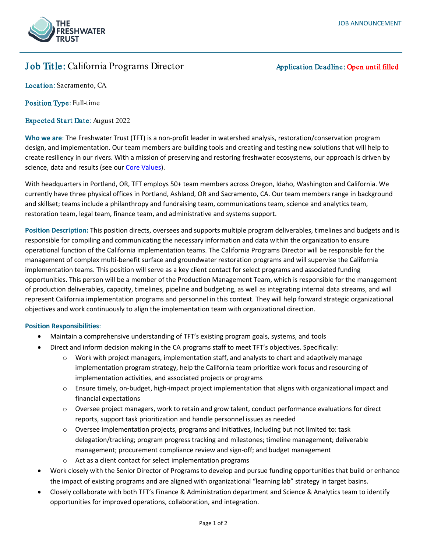# Job Title: California Programs Director Application Deadline: Open until filled

Location: Sacramento, CA

Position Type: Full-time

Expected Start Date: August 2022

**Who we are**: The Freshwater Trust (TFT) is a non-profit leader in watershed analysis, restoration/conservation program design, and implementation. Our team members are building tools and creating and testing new solutions that will help to create resiliency in our rivers. With a mission of preserving and restoring freshwater ecosystems, our approach is driven by science, data and results (see ou[r Core Values\)](https://www.thefreshwatertrust.org/about-us/core-values/).

With headquarters in Portland, OR, TFT employs 50+ team members across Oregon, Idaho, Washington and California. We currently have three physical offices in Portland, Ashland, OR and Sacramento, CA. Our team members range in background and skillset; teams include a philanthropy and fundraising team, communications team, science and analytics team, restoration team, legal team, finance team, and administrative and systems support.

**Position Description:** This position directs, oversees and supports multiple program deliverables, timelines and budgets and is responsible for compiling and communicating the necessary information and data within the organization to ensure operational function of the California implementation teams. The California Programs Director will be responsible for the management of complex multi-benefit surface and groundwater restoration programs and will supervise the California implementation teams. This position will serve as a key client contact for select programs and associated funding opportunities. This person will be a member of the Production Management Team, which is responsible for the management of production deliverables, capacity, timelines, pipeline and budgeting, as well as integrating internal data streams, and will represent California implementation programs and personnel in this context. They will help forward strategic organizational objectives and work continuously to align the implementation team with organizational direction.

### **Position Responsibilities**:

- Maintain a comprehensive understanding of TFT's existing program goals, systems, and tools
- Direct and inform decision making in the CA programs staff to meet TFT's objectives. Specifically:
	- $\circ$  Work with project managers, implementation staff, and analysts to chart and adaptively manage implementation program strategy, help the California team prioritize work focus and resourcing of implementation activities, and associated projects or programs
	- $\circ$  Ensure timely, on-budget, high-impact project implementation that aligns with organizational impact and financial expectations
	- $\circ$  Oversee project managers, work to retain and grow talent, conduct performance evaluations for direct reports, support task prioritization and handle personnel issues as needed
	- o Oversee implementation projects, programs and initiatives, including but not limited to: task delegation/tracking; program progress tracking and milestones; timeline management; deliverable management; procurement compliance review and sign-off; and budget management
	- o Act as a client contact for select implementation programs
- Work closely with the Senior Director of Programs to develop and pursue funding opportunities that build or enhance the impact of existing programs and are aligned with organizational "learning lab" strategy in target basins.
- Closely collaborate with both TFT's Finance & Administration department and Science & Analytics team to identify opportunities for improved operations, collaboration, and integration.